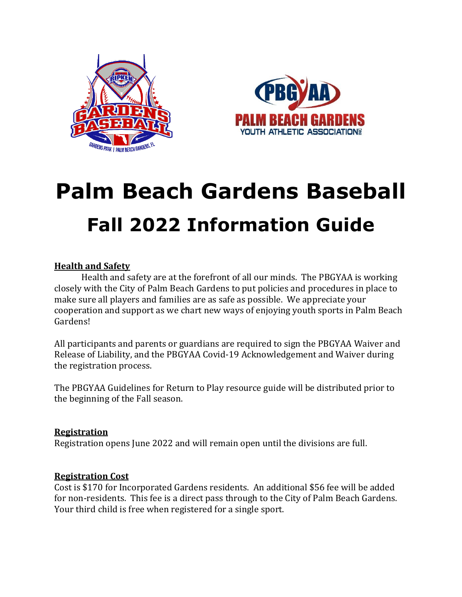



# **Palm Beach Gardens Baseball Fall 2022 Information Guide**

## **Health and Safety**

Health and safety are at the forefront of all our minds. The PBGYAA is working closely with the City of Palm Beach Gardens to put policies and procedures in place to make sure all players and families are as safe as possible. We appreciate your cooperation and support as we chart new ways of enjoying youth sports in Palm Beach Gardens!

All participants and parents or guardians are required to sign the PBGYAA Waiver and Release of Liability, and the PBGYAA Covid-19 Acknowledgement and Waiver during the registration process.

The PBGYAA Guidelines for Return to Play resource guide will be distributed prior to the beginning of the Fall season.

### **Registration**

Registration opens June 2022 and will remain open until the divisions are full.

### **Registration Cost**

Cost is \$170 for Incorporated Gardens residents. An additional \$56 fee will be added for non-residents. This fee is a direct pass through to the City of Palm Beach Gardens. Your third child is free when registered for a single sport.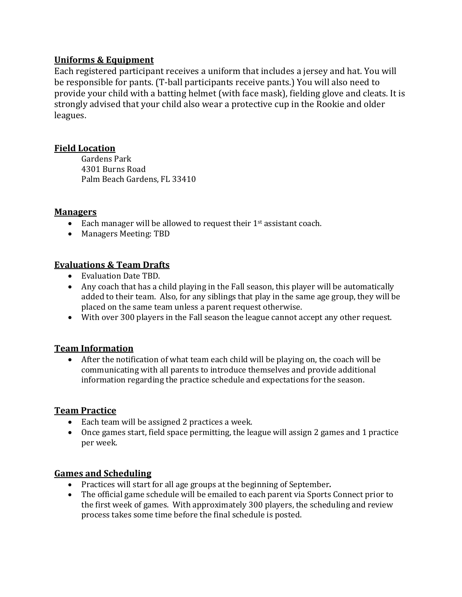## **Uniforms & Equipment**

Each registered participant receives a uniform that includes a jersey and hat. You will be responsible for pants. (T-ball participants receive pants.) You will also need to provide your child with a batting helmet (with face mask), fielding glove and cleats. It is strongly advised that your child also wear a protective cup in the Rookie and older leagues.

## **Field Location**

Gardens Park 4301 Burns Road Palm Beach Gardens, FL 33410

### **Managers**

- Each manager will be allowed to request their  $1<sup>st</sup>$  assistant coach.
- Managers Meeting: TBD

## **Evaluations & Team Drafts**

- Evaluation Date TBD.
- Any coach that has a child playing in the Fall season, this player will be automatically added to their team. Also, for any siblings that play in the same age group, they will be placed on the same team unless a parent request otherwise.
- With over 300 players in the Fall season the league cannot accept any other request.

### **Team Information**

• After the notification of what team each child will be playing on, the coach will be communicating with all parents to introduce themselves and provide additional information regarding the practice schedule and expectations for the season.

### **Team Practice**

- Each team will be assigned 2 practices a week.
- Once games start, field space permitting, the league will assign 2 games and 1 practice per week.

### **Games and Scheduling**

- Practices will start for all age groups at the beginning of September*.*
- The official game schedule will be emailed to each parent via Sports Connect prior to the first week of games. With approximately 300 players, the scheduling and review process takes some time before the final schedule is posted.